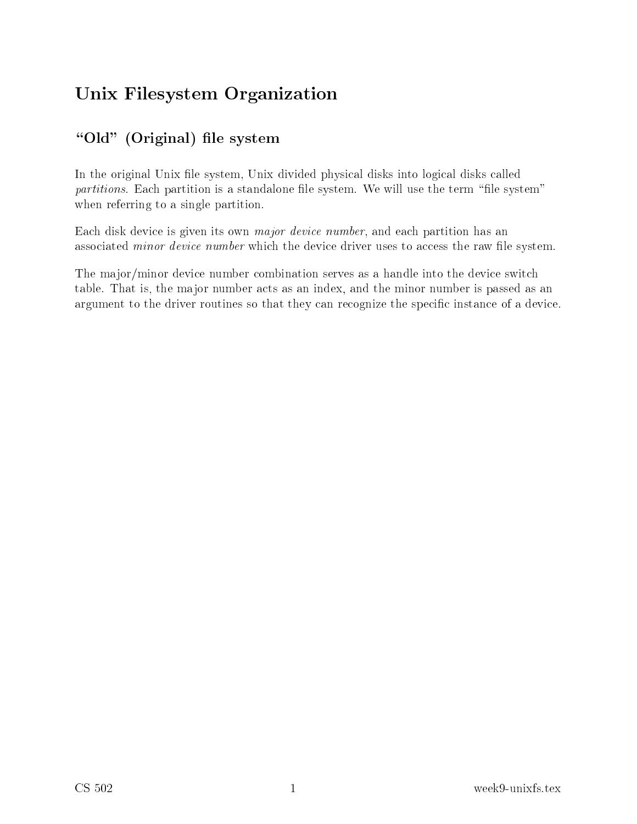# Unix Filesystem Organization

# $\overline{\phantom{a}}$  (original) is the system of the system of the system of the system of the system of the system of the system of the system of the system of the system of the system of the system of the system of the system of

In the original Unix file system, Unix divided physical disks into logical disks called partitions. Each partition is a standalone file system. We will use the term "file system" when referring to a single partition.

Each disk device is given its own *major device number*, and each partition has an associated *minor device number* which the device driver uses to access the raw file system.

The major/minor device number combination serves as a handle into the device switch table. That is, the major number acts as an index, and the minor number is passed as an argument to the driver routines so that they can recognize the specific instance of a device.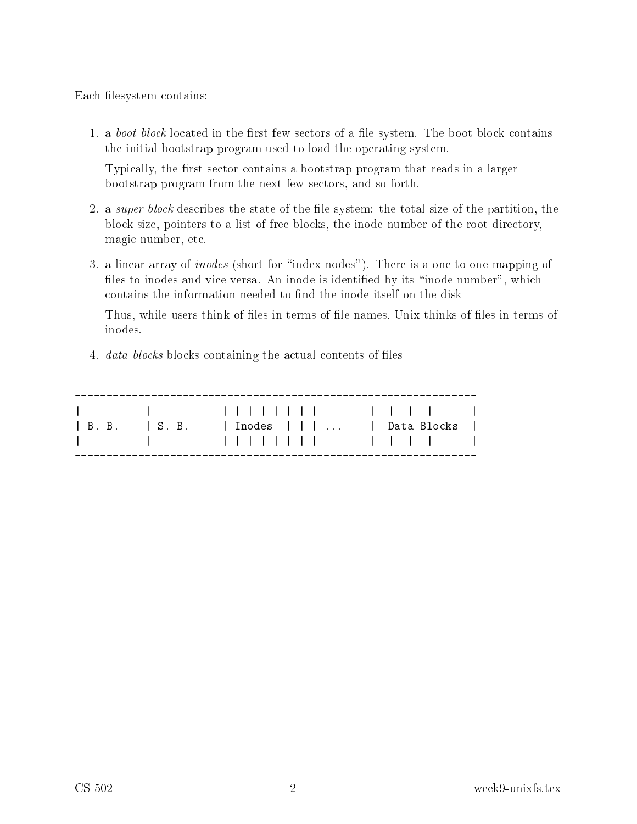Each filesystem contains:

1. a boot block located in the first few sectors of a file system. The boot block contains the initial bootstrap program used to load the operating system.

Typically, the first sector contains a bootstrap program that reads in a larger bootstrap program from the next few se
tors, and so forth.

- 2. a *super block* describes the state of the file system: the total size of the partition, the block size, pointers to a list of free blocks, the inode number of the root directory, magi number, et
.
- 3. a linear array of *inodes* (short for "index nodes"). There is a one to one mapping of files to inodes and vice versa. An inode is identified by its "inode number", which contains the information needed to find the inode itself on the disk

Thus, while users think of files in terms of file names, Unix thinks of files in terms of inodes.

4. *data blocks* blocks containing the actual contents of files

|                           | 1 1 11111111 1111 |                 |  |
|---------------------------|-------------------|-----------------|--|
| $\vert$ B.B. $\vert$ S.B. | Inodes            | Data Blocks – I |  |
|                           | 1 1 11111111 1111 |                 |  |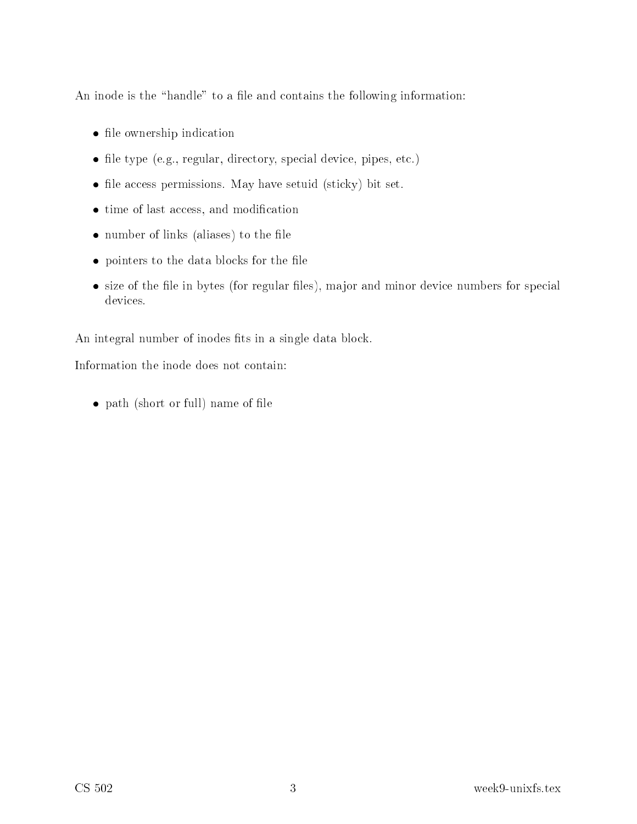An inode is the "handle" to a file and contains the following information:

- le ownership in the second contract of the second contract of the second contract of the second contract of the
- file type (e.g., regular, directory, special device, pipes, etc.)
- file access permissions. May have setuid (sticky) bit set.
- time of last access, and modification
- number of links (aliases) to the file
- pointers to the data blocks for the file
- $\bullet$  size of the file in bytes (for regular files), major and minor device numbers for special devices.

An integral number of inodes fits in a single data block.

Information the inode does not ontain:

• path (short or full) name of file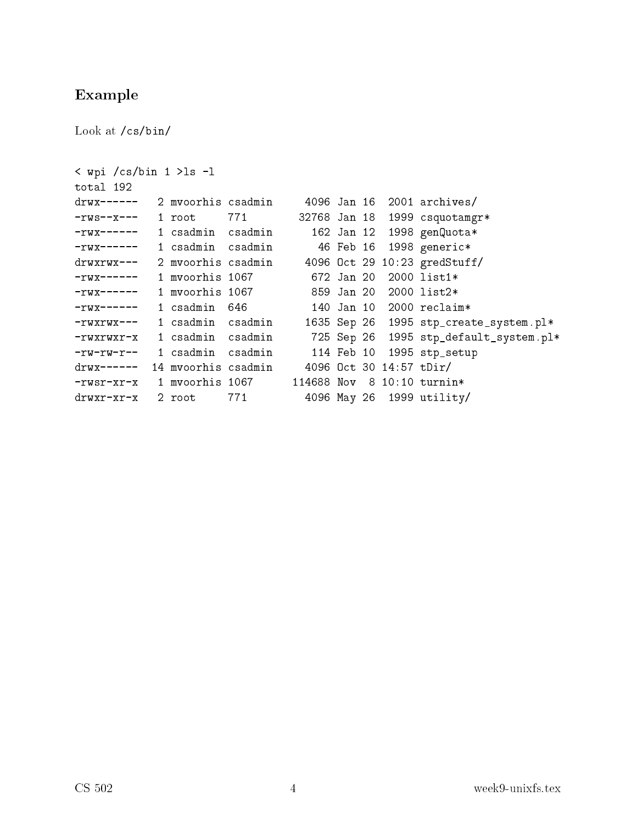### Example

Look at /cs/bin/

```
sin a latin 1 sin 1 sin 1 sin 1 sin 1 sin 1 sin 1 sin 1 sin 1 sin 1 sin 1 sin 1 sin 1 sin 1 sin 1 sin 1 sin 1
drwx------ 2 mvoorhis 
sadmin 4096 Jan 16 2001 ar
hives/
-rws--x--- 1 root 771 327681999 csquotamgr*
-rwx----1 csadmin 1 
sadmin 
sadmin 162 Jan 12 1998 genQuota*
-rwx------ 1 csadmin csadmin
                                      46 Feb 16 1998 generic*
drwxrwx---2 mvoorhis csadmin
                                    4096 Oct 29 10:23 gredStuff/
-rwx----1 myoorhis 1067
-rwx------ 1 mvoorhis 1067 859 Jan 20 2000 list2*
-rwx------ 1 
sadmin 646 140 Jan 10 2000 re
laim*
-rwxrwx--- 1 csadmin csadmin
                                    1635 Sep 26 1995 stp_create_system.pl*
-rwxrwxr-x 1 csadmin csadmin
                                     725 Sep 26 1995 stp_default_system.pl*
-rw-rw-r--1 csadmin csadmin 114 Feb 10 1995 stp_setup
drwx------ 14 mvoorhis 
sadmin 4096 O
t 30 14:57 tDir/
-rwsr-xr-xdrwxr-xr-x 2 root 771 4096 May 26 1999 utility/
```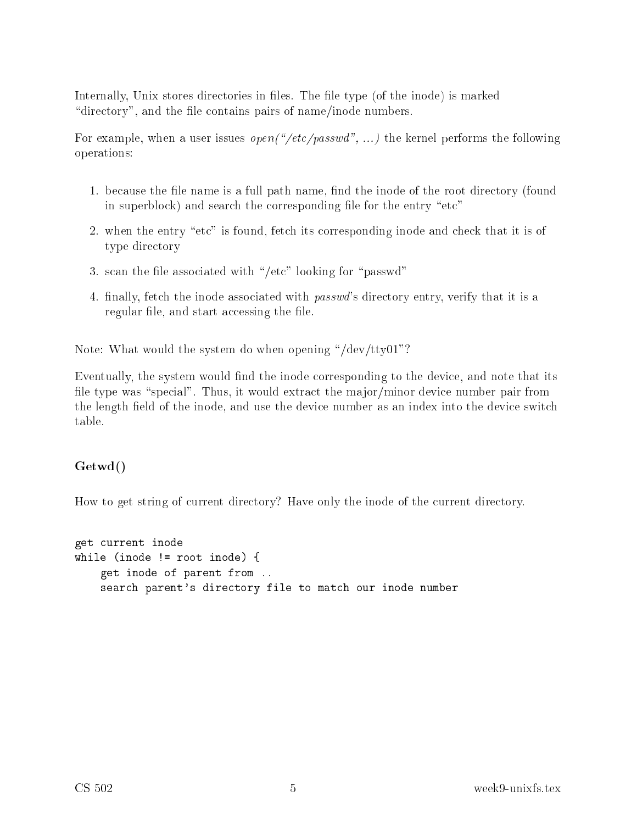Internally, Unix stores directories in files. The file type (of the inode) is marked "directory", and the file contains pairs of name/inode numbers.

For example, when a user issues *open* ("/etc/passwd", ...) the kernel performs the following operations:

- 1. because the file name is a full path name, find the inode of the root directory (found in superblock) and search the corresponding file for the entry "etc"
- 2. when the entry "etc" is found, fetch its corresponding inode and check that it is of type dire
tory
- 3. scan the file associated with "/etc" looking for "passwd"
- 4. finally, fetch the inode associated with *passwd*'s directory entry, verify that it is a regular file, and start accessing the file.

Note: What would the system do when opening "/dev/tty01"?

Eventually, the system would find the inode corresponding to the device, and note that its file type was "special". Thus, it would extract the major/minor device number pair from the length field of the inode, and use the device number as an index into the device switch table.

#### Getwd()

How to get string of current directory? Have only the inode of the current directory.

```
get 
urrent inode
while the state of the state \sim root in the state \sim root in the state \sim\mathbf{g} is a region of parent from ... In order that the parent from ... In order that the parent from ...
        sear
h parent's dire
tory file to mat
h our inode number
```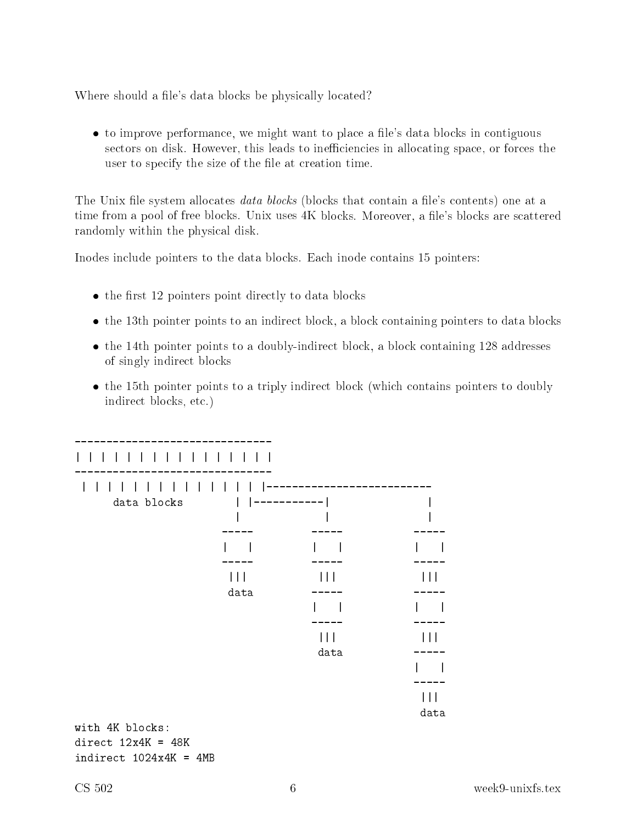Where should a file's data blocks be physically located?

• to improve performance, we might want to place a file's data blocks in contiguous sectors on disk. However, this leads to inefficiencies in allocating space, or forces the user to specify the size of the file at creation time.

The Unix file system allocates *data blocks* (blocks that contain a file's contents) one at a time from a pool of free blocks. Unix uses 4K blocks. Moreover, a file's blocks are scattered randomly within the physi
al disk.

Inodes include pointers to the data blocks. Each inode contains 15 pointers:

- $\bullet$  the first 12 pointers point directly to data blocks
- the 13th pointer points to an indirect block, a block containing pointers to data blocks
- the 14th pointer points to a doubly-indirect block, a block containing 128 addresses of singly indire
t blo
ks
- the 15th pointer points to a triply indirect block (which contains pointers to doubly indirect blocks, etc.)

| data blocks |      |      |                         |  |  |  |  |
|-------------|------|------|-------------------------|--|--|--|--|
|             |      |      |                         |  |  |  |  |
|             |      |      |                         |  |  |  |  |
|             |      |      |                         |  |  |  |  |
|             |      |      | $\vert \ \vert \ \vert$ |  |  |  |  |
|             | data |      |                         |  |  |  |  |
|             |      |      |                         |  |  |  |  |
|             |      |      |                         |  |  |  |  |
|             |      | data |                         |  |  |  |  |
|             |      |      |                         |  |  |  |  |
|             |      |      |                         |  |  |  |  |
|             |      |      | data                    |  |  |  |  |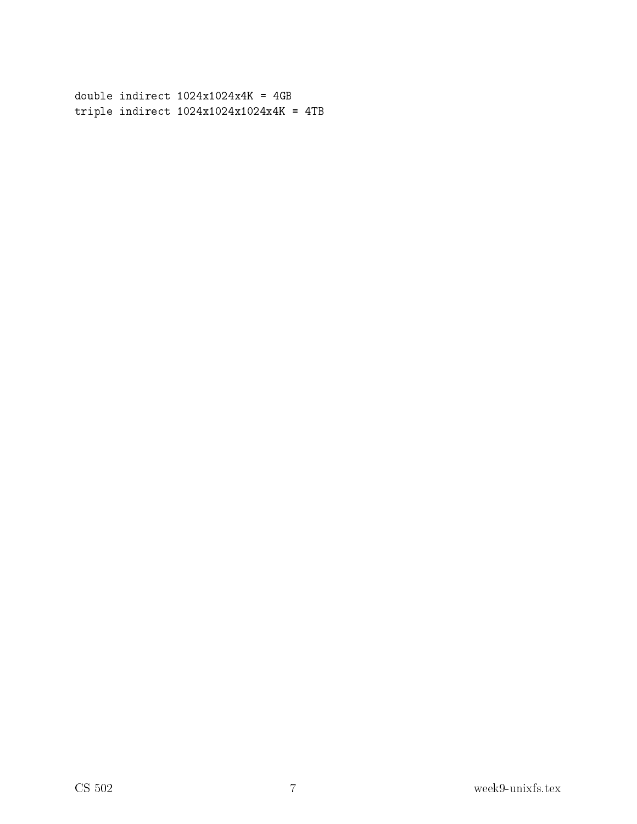triple indirection in the state indirection in the state of the state indirection in the state of the state in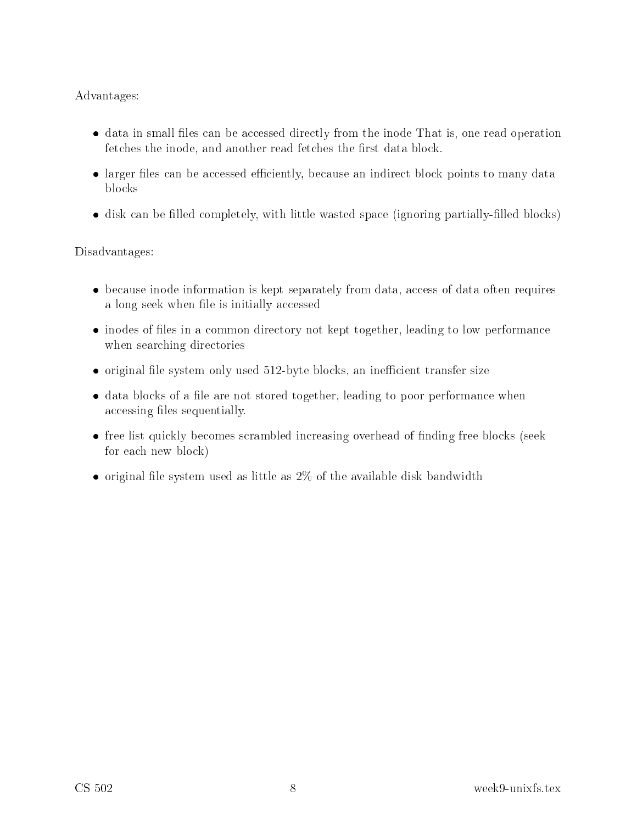#### Advantages:

- data in small files can be accessed directly from the inode That is, one read operation fetches the inode, and another read fetches the first data block.
- larger files can be accessed efficiently, because an indirect block points to many data blo
ks
- disk can be filled completely, with little wasted space (ignoring partially-filled blocks)

Disadvantages:

- because inode information is kept separately from data, access of data often requires a long seek when file is initially accessed
- inodes of files in a common directory not kept together, leading to low performance when sear
hing dire
tories
- original file system only used 512-byte blocks, an inefficient transfer size
- data blocks of a file are not stored together, leading to poor performance when accessing files sequentially.
- free list quickly becomes scrambled increasing overhead of finding free blocks (seek for ea
h new blo
k)
- $\bullet$  original file system used as little as  $2\%$  of the available disk bandwidth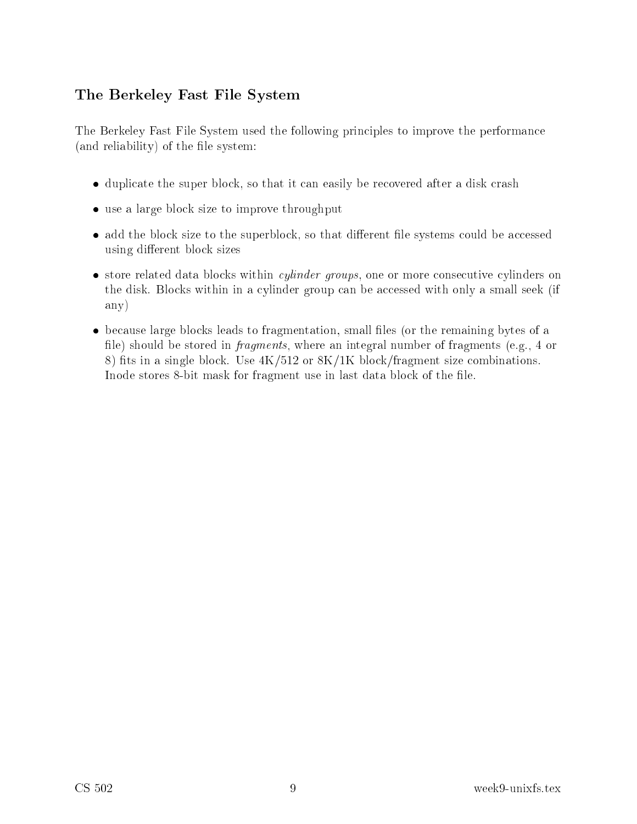### The Berkeley Fast File System

The Berkeley Fast File System used the following principles to improve the performance  $($ and reliability $)$  of the file system:

- duplicate the super block, so that it can easily be recovered after a disk crash
- use a large block size to improve throughput
- add the block size to the superblock, so that different file systems could be accessed using different block sizes
- store related data blocks within *cylinder groups*, one or more consecutive cylinders on the disk. Blocks within in a cylinder group can be accessed with only a small seek (if any)
- because large blocks leads to fragmentation, small files (or the remaining bytes of a file) should be stored in *fragments*, where an integral number of fragments (e.g., 4 or 8) fits in a single block. Use  $4K/512$  or  $8K/1K$  block/fragment size combinations. Inode stores 8-bit mask for fragment use in last data block of the file.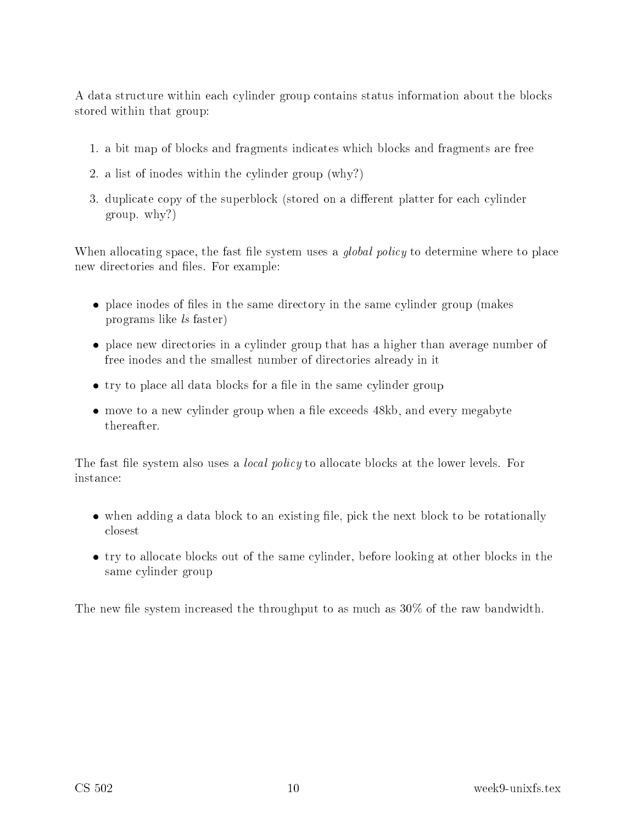A data structure within each cylinder group contains status information about the blocks stored within that group:

- 1. a bit map of blo
ks and fragments indi
ates whi
h blo
ks and fragments are free
- 2. a list of inodes within the cylinder group (why?)
- 3. duplicate copy of the superblock (stored on a different platter for each cylinder group. why?)

When allocating space, the fast file system uses a *global policy* to determine where to place new directories and files. For example:

- place inodes of files in the same directory in the same cylinder group (makes programs like ls faster)
- place new directories in a cylinder group that has a higher than average number of free inodes and the smallest number of directories already in it
- try to place all data blocks for a file in the same cylinder group
- move to a new cylinder group when a file exceeds 48kb, and every megabyte thereafter.

The fast file system also uses a *local policy* to allocate blocks at the lower levels. For instan
e:

- when adding a data block to an existing file, pick the next block to be rotationally losest
- try to allocate blocks out of the same cylinder, before looking at other blocks in the same cylinder group

The new file system increased the throughput to as much as  $30\%$  of the raw bandwidth.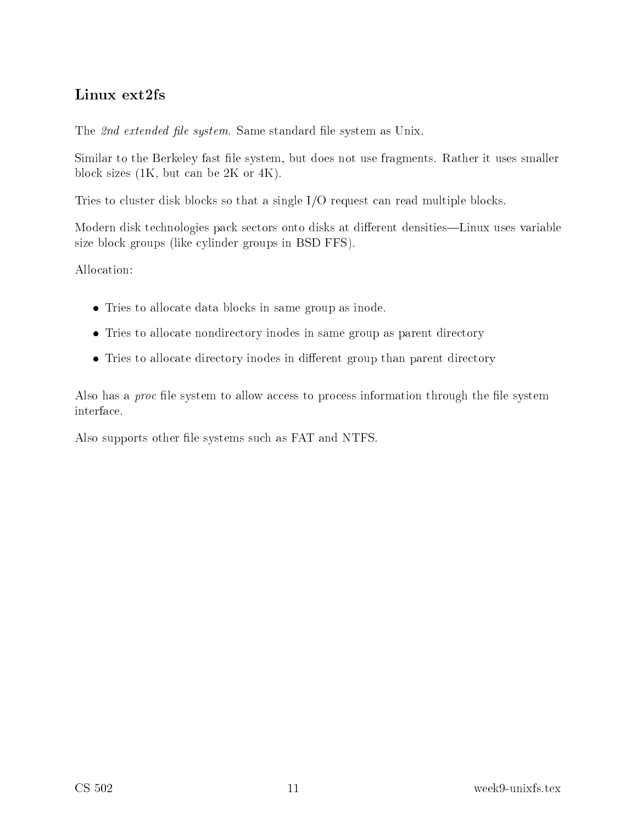The 2nd extended file system. Same standard file system as Unix.

Similar to the Berkeley fast le system, but does not use fragments. Rather it uses smaller blo
k sizes (1K, but an be 2K or 4K).

Tries to cluster disk blocks so that a single I/O request can read multiple blocks.

Modern disk technologies pack sectors onto disks at different densities—Linux uses variable size block groups (like cylinder groups in BSD FFS).

Allo
ation:

- Tries to allocate data blocks in same group as inode.
- Tries to allocate nondirectory inodes in same group as parent directory
- Tries to allocate directory inodes in different group than parent directory

Also has a *proc* file system to allow access to process information through the file system interfa
e.

Also supports other file systems such as FAT and NTFS.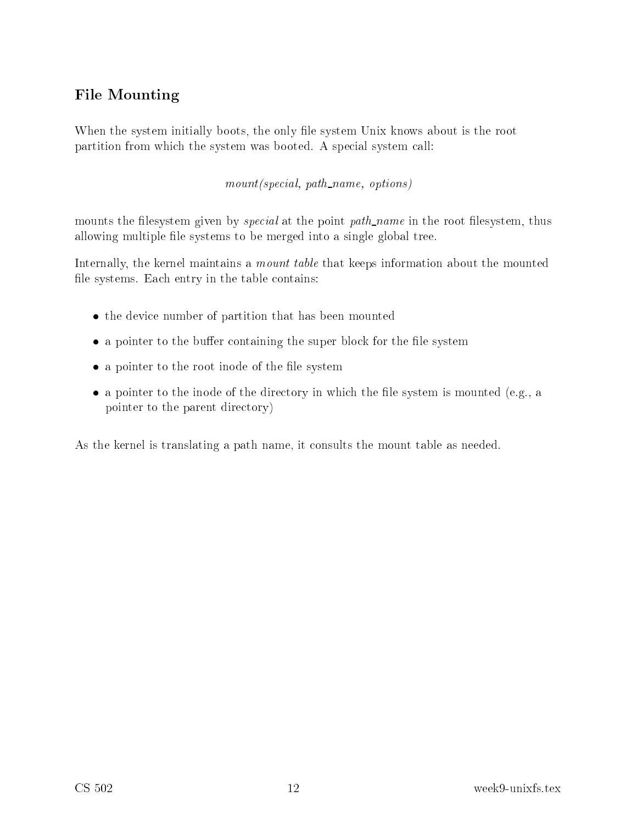# File Mounting

When the system initially boots, the only file system Unix knows about is the root partition from which the system was booted. A special system call:

mount and path name, path in mountain a part of the  $\eta$ 

mounts the filesystem given by *special* at the point *path\_name* in the root filesystem, thus allowing multiple file systems to be merged into a single global tree.

Internally, the kernel maintains a *mount table* that keeps information about the mounted file systems. Each entry in the table contains:

- the device number of partition that has been mounted
- a pointer to the buffer containing the super block for the file system
- $\bullet$  a pointer to the root inode of the file system
- a pointer to the inode of the directory in which the file system is mounted (e.g., a pointer to the parent dire
tory)

As the kernel is translating a path name, it onsults the mount table as needed.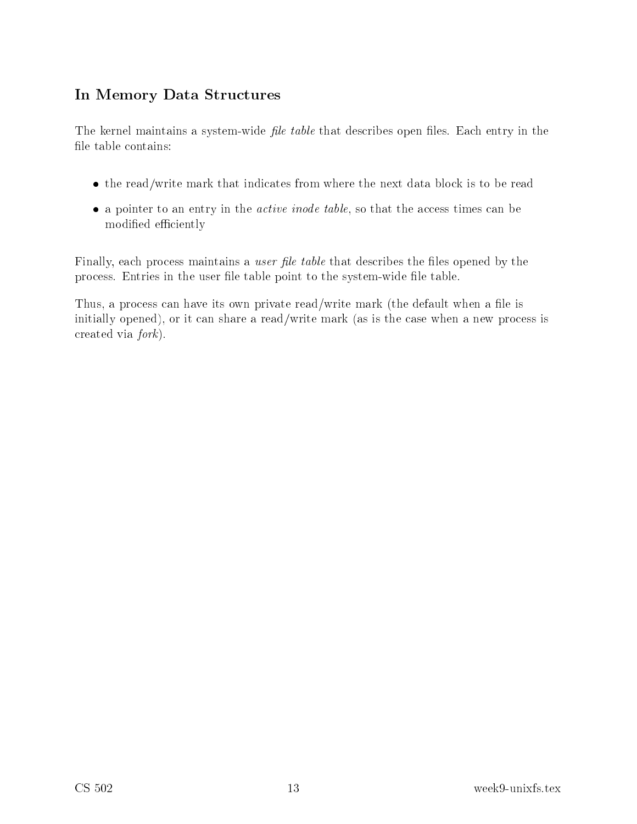# In Memory Data Stru
tures

The kernel maintains a system-wide *file table* that describes open files. Each entry in the file table contains:

- the read/write mark that indicates from where the next data block is to be read
- $\bullet$  a pointer to an entry in the *active inode table*, so that the access times can be modified efficiently

Finally, each process maintains a *user file table* that describes the files opened by the process. Entries in the user file table point to the system-wide file table.

Thus, a process can have its own private read/write mark (the default when a file is initially opened), or it can share a read/write mark (as is the case when a new process is created via *fork*).